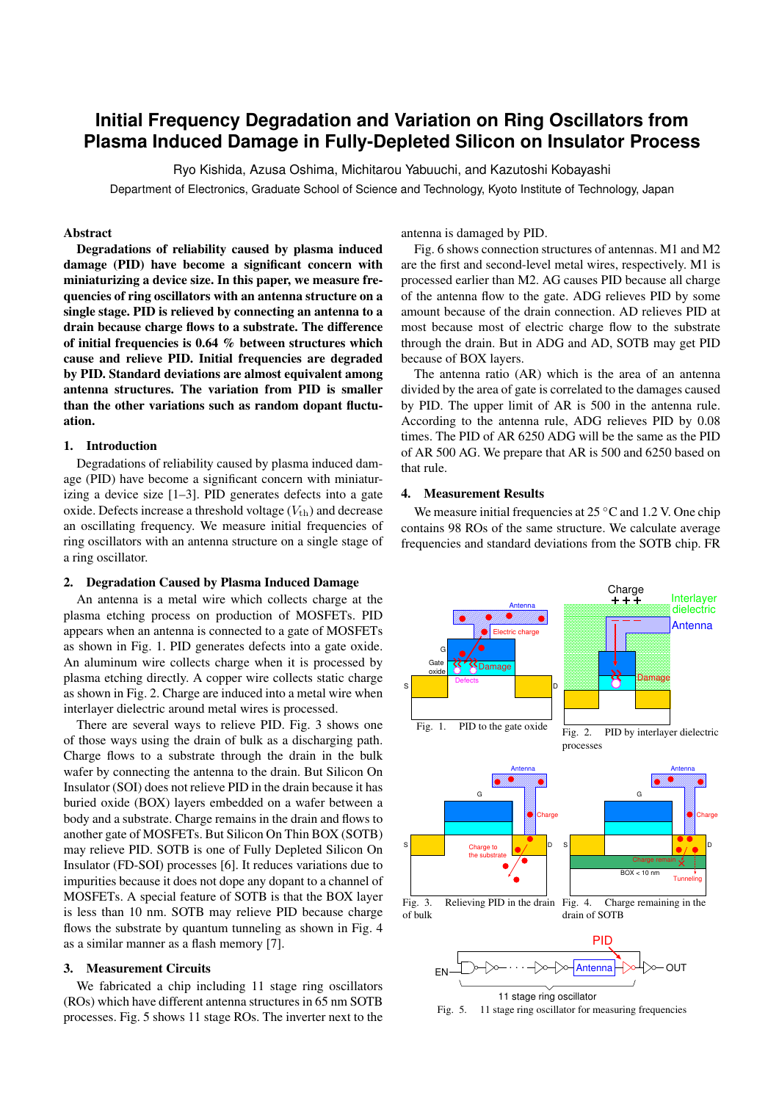# **Initial Frequency Degradation and Variation on Ring Oscillators from Plasma Induced Damage in Fully-Depleted Silicon on Insulator Process**

Ryo Kishida, Azusa Oshima, Michitarou Yabuuchi, and Kazutoshi Kobayashi

Department of Electronics, Graduate School of Science and Technology, Kyoto Institute of Technology, Japan

# Abstract

Degradations of reliability caused by plasma induced damage (PID) have become a significant concern with miniaturizing a device size. In this paper, we measure frequencies of ring oscillators with an antenna structure on a single stage. PID is relieved by connecting an antenna to a drain because charge flows to a substrate. The difference of initial frequencies is 0.64 % between structures which cause and relieve PID. Initial frequencies are degraded by PID. Standard deviations are almost equivalent among antenna structures. The variation from PID is smaller than the other variations such as random dopant fluctuation.

# 1. Introduction

Degradations of reliability caused by plasma induced damage (PID) have become a significant concern with miniaturizing a device size [1–3]. PID generates defects into a gate oxide. Defects increase a threshold voltage  $(V_{th})$  and decrease an oscillating frequency. We measure initial frequencies of ring oscillators with an antenna structure on a single stage of a ring oscillator.

# 2. Degradation Caused by Plasma Induced Damage

An antenna is a metal wire which collects charge at the plasma etching process on production of MOSFETs. PID appears when an antenna is connected to a gate of MOSFETs as shown in Fig. 1. PID generates defects into a gate oxide. An aluminum wire collects charge when it is processed by plasma etching directly. A copper wire collects static charge as shown in Fig. 2. Charge are induced into a metal wire when interlayer dielectric around metal wires is processed.

There are several ways to relieve PID. Fig. 3 shows one of those ways using the drain of bulk as a discharging path. Charge flows to a substrate through the drain in the bulk wafer by connecting the antenna to the drain. But Silicon On Insulator (SOI) does not relieve PID in the drain because it has buried oxide (BOX) layers embedded on a wafer between a body and a substrate. Charge remains in the drain and flows to another gate of MOSFETs. But Silicon On Thin BOX (SOTB) may relieve PID. SOTB is one of Fully Depleted Silicon On Insulator (FD-SOI) processes [6]. It reduces variations due to impurities because it does not dope any dopant to a channel of MOSFETs. A special feature of SOTB is that the BOX layer is less than 10 nm. SOTB may relieve PID because charge flows the substrate by quantum tunneling as shown in Fig. 4 as a similar manner as a flash memory [7].

# 3. Measurement Circuits

We fabricated a chip including 11 stage ring oscillators (ROs) which have different antenna structures in 65 nm SOTB processes. Fig. 5 shows 11 stage ROs. The inverter next to the

# antenna is damaged by PID.

Fig. 6 shows connection structures of antennas. M1 and M2 are the first and second-level metal wires, respectively. M1 is processed earlier than M2. AG causes PID because all charge of the antenna flow to the gate. ADG relieves PID by some amount because of the drain connection. AD relieves PID at most because most of electric charge flow to the substrate through the drain. But in ADG and AD, SOTB may get PID because of BOX layers.

The antenna ratio (AR) which is the area of an antenna divided by the area of gate is correlated to the damages caused by PID. The upper limit of AR is 500 in the antenna rule. According to the antenna rule, ADG relieves PID by 0.08 times. The PID of AR 6250 ADG will be the same as the PID of AR 500 AG. We prepare that AR is 500 and 6250 based on that rule.

# 4. Measurement Results

We measure initial frequencies at 25 *◦*C and 1.2 V. One chip contains 98 ROs of the same structure. We calculate average frequencies and standard deviations from the SOTB chip. FR



Fig. 5. 11 stage ring oscillator for measuring frequencies